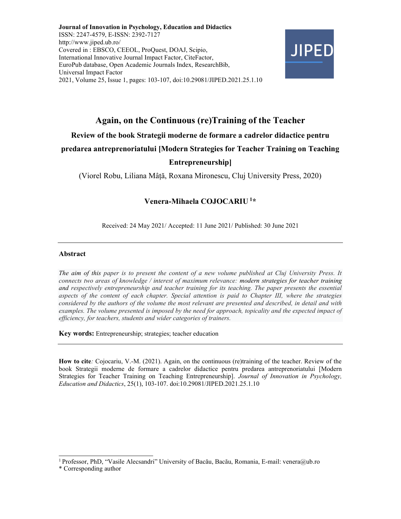Journal of Innovation in Psychology, Education and Didactics ISSN: 2247-4579, E-ISSN: 2392-7127 http://www.jiped.ub.ro/ Covered in : EBSCO, CEEOL, ProQuest, DOAJ, Scipio, International Innovative Journal Impact Factor, CiteFactor, EuroPub database, Open Academic Journals Index, ResearchBib, Universal Impact Factor 2021, Volume 25, Issue 1, pages: 103-107, doi:10.29081/JIPED.2021.25.1.10



# Again, on the Continuous (re)Training of the Teacher

### Review of the book Strategii moderne de formare a cadrelor didactice pentru

#### predarea antreprenoriatului [Modern Strategies for Teacher Training on Teaching

### Entrepreneurship]

(Viorel Robu, Liliana Mâță, Roxana Mironescu, Cluj University Press, 2020)

## Venera-Mihaela COJOCARIU<sup>1\*</sup>

Received: 24 May 2021/ Accepted: 11 June 2021/ Published: 30 June 2021

#### Abstract

The aim of this paper is to present the content of a new volume published at Cluj University Press. It connects two areas of knowledge / interest of maximum relevance: modern strategies for teacher training and respectively entrepreneurship and teacher training for its teaching. The paper presents the essential aspects of the content of each chapter. Special attention is paid to Chapter III, where the strategies considered by the authors of the volume the most relevant are presented and described, in detail and with examples. The volume presented is imposed by the need for approach, topicality and the expected impact of efficiency, for teachers, students and wider categories of trainers.

Key words: Entrepreneurship; strategies; teacher education

How to cite: Cojocariu, V.-M. (2021). Again, on the continuous (re)training of the teacher. Review of the book Strategii moderne de formare a cadrelor didactice pentru predarea antreprenoriatului [Modern Strategies for Teacher Training on Teaching Entrepreneurship]. Journal of Innovation in Psychology, Education and Didactics, 25(1), 103-107. doi:10.29081/JIPED.2021.25.1.10

<sup>&</sup>lt;sup>1</sup> Professor, PhD, "Vasile Alecsandri" University of Bacău, Bacău, Romania, E-mail: venera@ub.ro

<sup>\*</sup> Corresponding author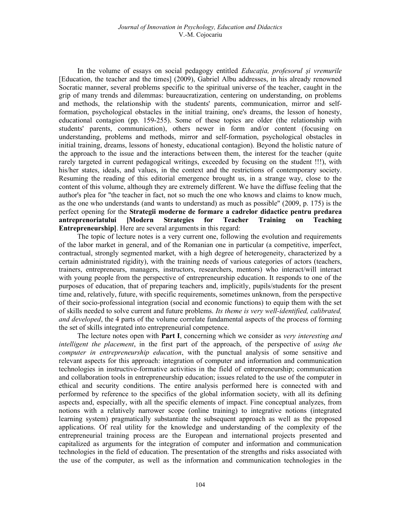In the volume of essays on social pedagogy entitled Educația, profesorul și vremurile [Education, the teacher and the times] (2009), Gabriel Albu addresses, in his already renowned Socratic manner, several problems specific to the spiritual universe of the teacher, caught in the grip of many trends and dilemmas: bureaucratization, centering on understanding, on problems and methods, the relationship with the students' parents, communication, mirror and selfformation, psychological obstacles in the initial training, one's dreams, the lesson of honesty, educational contagion (pp. 159-255). Some of these topics are older (the relationship with students' parents, communication), others newer in form and/or content (focusing on understanding, problems and methods, mirror and self-formation, psychological obstacles in initial training, dreams, lessons of honesty, educational contagion). Beyond the holistic nature of the approach to the issue and the interactions between them, the interest for the teacher (quite rarely targeted in current pedagogical writings, exceeded by focusing on the student !!!), with his/her states, ideals, and values, in the context and the restrictions of contemporary society. Resuming the reading of this editorial emergence brought us, in a strange way, close to the content of this volume, although they are extremely different. We have the diffuse feeling that the author's plea for "the teacher in fact, not so much the one who knows and claims to know much, as the one who understands (and wants to understand) as much as possible" (2009, p. 175) is the perfect opening for the Strategii moderne de formare a cadrelor didactice pentru predarea antreprenoriatului [Modern Strategies for Teacher Training on Teaching Entrepreneurship]. Here are several arguments in this regard:

The topic of lecture notes is a very current one, following the evolution and requirements of the labor market in general, and of the Romanian one in particular (a competitive, imperfect, contractual, strongly segmented market, with a high degree of heterogeneity, characterized by a certain administrated rigidity), with the training needs of various categories of actors (teachers, trainers, entrepreneurs, managers, instructors, researchers, mentors) who interact/will interact with young people from the perspective of entrepreneurship education. It responds to one of the purposes of education, that of preparing teachers and, implicitly, pupils/students for the present time and, relatively, future, with specific requirements, sometimes unknown, from the perspective of their socio-professional integration (social and economic functions) to equip them with the set of skills needed to solve current and future problems. Its theme is very well-identified, calibrated, and developed, the 4 parts of the volume correlate fundamental aspects of the process of forming the set of skills integrated into entrepreneurial competence.

The lecture notes open with **Part I**, concerning which we consider as *very interesting and* intelligent the placement, in the first part of the approach, of the perspective of using the computer in entrepreneurship education, with the punctual analysis of some sensitive and relevant aspects for this approach: integration of computer and information and communication technologies in instructive-formative activities in the field of entrepreneurship; communication and collaboration tools in entrepreneurship education; issues related to the use of the computer in ethical and security conditions. The entire analysis performed here is connected with and performed by reference to the specifics of the global information society, with all its defining aspects and, especially, with all the specific elements of impact. Fine conceptual analyzes, from notions with a relatively narrower scope (online training) to integrative notions (integrated learning system) pragmatically substantiate the subsequent approach as well as the proposed applications. Of real utility for the knowledge and understanding of the complexity of the entrepreneurial training process are the European and international projects presented and capitalized as arguments for the integration of computer and information and communication technologies in the field of education. The presentation of the strengths and risks associated with the use of the computer, as well as the information and communication technologies in the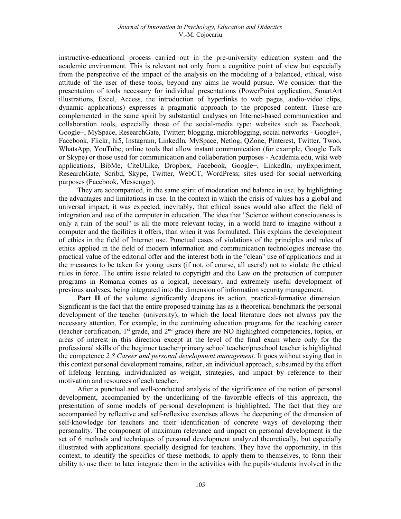instructive-educational process carried out in the pre-university education system and the academic environment. This is relevant not only from a cognitive point of view but especially from the perspective of the impact of the analysis on the modeling of a balanced, ethical, wise attitude of the user of these tools, beyond any aims he would pursue. We consider that the presentation of tools necessary for individual presentations (PowerPoint application, SmartArt illustrations, Excel, Access, the introduction of hyperlinks to web pages, audio-video clips, dynamic applications) expresses a pragmatic approach to the proposed content. These are complemented in the same spirit by substantial analyses on Internet-based communication and collaboration tools, especially those of the social-media type: websites such as Facebook, Google+, MySpace, ResearchGate, Twitter; blogging, microblogging, social networks - Google+, Facebook, Flickr, hi5, Instagram, LinkedIn, MySpace, Netlog, QZone, Pinterest, Twitter, Twoo, WhatsApp, YouTube; online tools that allow instant communication (for example, Google Talk or Skype) or those used for communication and collaboration purposes - Academia.edu, wiki web applications, BibMe, CiteULike, Dropbox, Facebook, Google+, LinkedIn, myExperiment, ResearchGate, Scribd, Skype, Twitter, WebCT, WordPress; sites used for social networking purposes (Facebook, Messenger).

They are accompanied, in the same spirit of moderation and balance in use, by highlighting the advantages and limitations in use. In the context in which the crisis of values has a global and universal impact, it was expected, inevitably, that ethical issues would also affect the field of integration and use of the computer in education. The idea that "Science without consciousness is only a ruin of the soul" is all the more relevant today, in a world hard to imagine without a computer and the facilities it offers, than when it was formulated. This explains the development of ethics in the field of Internet use. Punctual cases of violations of the principles and rules of ethics applied in the field of modern information and communication technologies increase the practical value of the editorial offer and the interest both in the "clean" use of applications and in the measures to be taken for young users (if not, of course, all users!) not to violate the ethical rules in force. The entire issue related to copyright and the Law on the protection of computer programs in Romania comes as a logical, necessary, and extremely useful development of previous analyses, being integrated into the dimension of information security management.

Part II of the volume significantly deepens its action, practical-formative dimension. Significant is the fact that the entire proposed training has as a theoretical benchmark the personal development of the teacher (university), to which the local literature does not always pay the necessary attention. For example, in the continuing education programs for the teaching career (teacher certification, 1st grade, and 2nd grade) there are NO highlighted competencies, topics, or areas of interest in this direction except at the level of the final exam where only for the professional skills of the beginner teacher/primary school teacher/preschool teacher is highlighted the competence 2.8 Career and personal development management. It goes without saying that in this context personal development remains, rather, an individual approach, subsumed by the effort of lifelong learning, individualized as weight, strategies, and impact by reference to their motivation and resources of each teacher.

After a punctual and well-conducted analysis of the significance of the notion of personal development, accompanied by the underlining of the favorable effects of this approach, the presentation of some models of personal development is highlighted. The fact that they are accompanied by reflective and self-reflexive exercises allows the deepening of the dimension of self-knowledge for teachers and their identification of concrete ways of developing their personality. The component of maximum relevance and impact on personal development is the set of 6 methods and techniques of personal development analyzed theoretically, but especially illustrated with applications specially designed for teachers. They have the opportunity, in this context, to identify the specifics of these methods, to apply them to themselves, to form their ability to use them to later integrate them in the activities with the pupils/students involved in the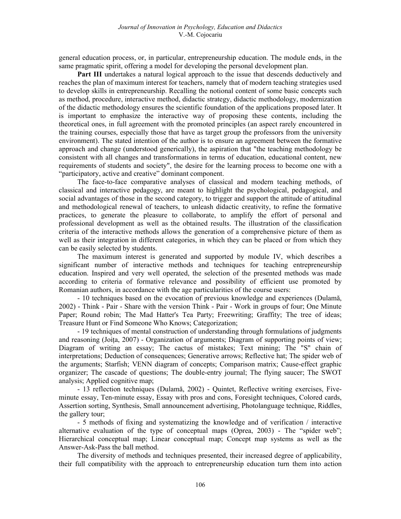general education process, or, in particular, entrepreneurship education. The module ends, in the same pragmatic spirit, offering a model for developing the personal development plan.

Part III undertakes a natural logical approach to the issue that descends deductively and reaches the plan of maximum interest for teachers, namely that of modern teaching strategies used to develop skills in entrepreneurship. Recalling the notional content of some basic concepts such as method, procedure, interactive method, didactic strategy, didactic methodology, modernization of the didactic methodology ensures the scientific foundation of the applications proposed later. It is important to emphasize the interactive way of proposing these contents, including the theoretical ones, in full agreement with the promoted principles (an aspect rarely encountered in the training courses, especially those that have as target group the professors from the university environment). The stated intention of the author is to ensure an agreement between the formative approach and change (understood generically), the aspiration that "the teaching methodology be consistent with all changes and transformations in terms of education, educational content, new requirements of students and society", the desire for the learning process to become one with a "participatory, active and creative" dominant component.

The face-to-face comparative analyses of classical and modern teaching methods, of classical and interactive pedagogy, are meant to highlight the psychological, pedagogical, and social advantages of those in the second category, to trigger and support the attitude of attitudinal and methodological renewal of teachers, to unleash didactic creativity, to refine the formative practices, to generate the pleasure to collaborate, to amplify the effort of personal and professional development as well as the obtained results. The illustration of the classification criteria of the interactive methods allows the generation of a comprehensive picture of them as well as their integration in different categories, in which they can be placed or from which they can be easily selected by students.

The maximum interest is generated and supported by module IV, which describes a significant number of interactive methods and techniques for teaching entrepreneurship education. Inspired and very well operated, the selection of the presented methods was made according to criteria of formative relevance and possibility of efficient use promoted by Romanian authors, in accordance with the age particularities of the course users:

- 10 techniques based on the evocation of previous knowledge and experiences (Dulamă, 2002) - Think - Pair - Share with the version Think - Pair - Work in groups of four; One Minute Paper; Round robin; The Mad Hatter's Tea Party; Freewriting; Graffity; The tree of ideas; Treasure Hunt or Find Someone Who Knows; Categorization;

- 19 techniques of mental construction of understanding through formulations of judgments and reasoning (Joița, 2007) - Organization of arguments; Diagram of supporting points of view; Diagram of writing an essay; The cactus of mistakes; Text mining; The "S" chain of interpretations; Deduction of consequences; Generative arrows; Reflective hat; The spider web of the arguments; Starfish; VENN diagram of concepts; Comparison matrix; Cause-effect graphic organizer; The cascade of questions; The double-entry journal; The flying saucer; The SWOT analysis; Applied cognitive map;

- 13 reflection techniques (Dulamă, 2002) - Quintet, Reflective writing exercises, Fiveminute essay, Ten-minute essay, Essay with pros and cons, Foresight techniques, Colored cards, Assertion sorting, Synthesis, Small announcement advertising, Photolanguage technique, Riddles, the gallery tour;

- 5 methods of fixing and systematizing the knowledge and of verification / interactive alternative evaluation of the type of conceptual maps (Oprea, 2003) - The "spider web"; Hierarchical conceptual map; Linear conceptual map; Concept map systems as well as the Answer-Ask-Pass the ball method.

The diversity of methods and techniques presented, their increased degree of applicability, their full compatibility with the approach to entrepreneurship education turn them into action